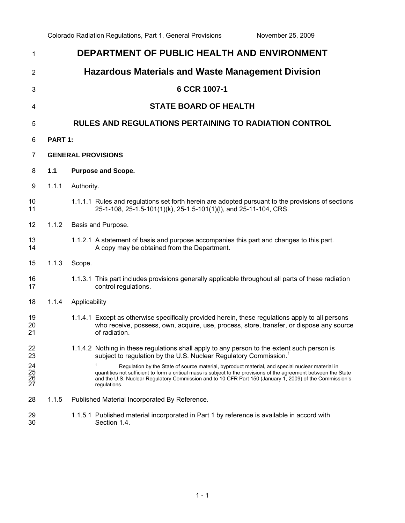| 1                                  | DEPARTMENT OF PUBLIC HEALTH AND ENVIRONMENT |                                                                                                                                                                                                                                                                                                                                                 |  |  |
|------------------------------------|---------------------------------------------|-------------------------------------------------------------------------------------------------------------------------------------------------------------------------------------------------------------------------------------------------------------------------------------------------------------------------------------------------|--|--|
| $\overline{2}$                     |                                             | <b>Hazardous Materials and Waste Management Division</b>                                                                                                                                                                                                                                                                                        |  |  |
| 3                                  |                                             | 6 CCR 1007-1                                                                                                                                                                                                                                                                                                                                    |  |  |
| 4                                  |                                             | <b>STATE BOARD OF HEALTH</b>                                                                                                                                                                                                                                                                                                                    |  |  |
| 5                                  |                                             | <b>RULES AND REGULATIONS PERTAINING TO RADIATION CONTROL</b>                                                                                                                                                                                                                                                                                    |  |  |
| 6                                  | PART 1:                                     |                                                                                                                                                                                                                                                                                                                                                 |  |  |
| $\overline{7}$                     | <b>GENERAL PROVISIONS</b>                   |                                                                                                                                                                                                                                                                                                                                                 |  |  |
| 8                                  | 1.1                                         | <b>Purpose and Scope.</b>                                                                                                                                                                                                                                                                                                                       |  |  |
| 9                                  | 1.1.1                                       | Authority.                                                                                                                                                                                                                                                                                                                                      |  |  |
| 10<br>11                           |                                             | 1.1.1.1 Rules and regulations set forth herein are adopted pursuant to the provisions of sections<br>25-1-108, 25-1.5-101(1)(k), 25-1.5-101(1)(l), and 25-11-104, CRS.                                                                                                                                                                          |  |  |
| 12                                 | 1.1.2                                       | Basis and Purpose.                                                                                                                                                                                                                                                                                                                              |  |  |
| 13<br>14                           |                                             | 1.1.2.1 A statement of basis and purpose accompanies this part and changes to this part.<br>A copy may be obtained from the Department.                                                                                                                                                                                                         |  |  |
| 15                                 | 1.1.3                                       | Scope.                                                                                                                                                                                                                                                                                                                                          |  |  |
| 16<br>17                           |                                             | 1.1.3.1 This part includes provisions generally applicable throughout all parts of these radiation<br>control regulations.                                                                                                                                                                                                                      |  |  |
| 18                                 | 1.1.4                                       | Applicability                                                                                                                                                                                                                                                                                                                                   |  |  |
| 19<br>20<br>21                     |                                             | 1.1.4.1 Except as otherwise specifically provided herein, these regulations apply to all persons<br>who receive, possess, own, acquire, use, process, store, transfer, or dispose any source<br>of radiation.                                                                                                                                   |  |  |
| 22<br>23                           |                                             | 1.1.4.2 Nothing in these regulations shall apply to any person to the extent such person is<br>subject to regulation by the U.S. Nuclear Regulatory Commission. <sup>1</sup>                                                                                                                                                                    |  |  |
| $\frac{24}{25}$<br>$\frac{26}{27}$ |                                             | Regulation by the State of source material, byproduct material, and special nuclear material in<br>quantities not sufficient to form a critical mass is subject to the provisions of the agreement between the State<br>and the U.S. Nuclear Regulatory Commission and to 10 CFR Part 150 (January 1, 2009) of the Commission's<br>regulations. |  |  |
| 28                                 | 1.1.5                                       | Published Material Incorporated By Reference.                                                                                                                                                                                                                                                                                                   |  |  |
| 29<br>30                           |                                             | 1.1.5.1 Published material incorporated in Part 1 by reference is available in accord with<br>Section 1.4.                                                                                                                                                                                                                                      |  |  |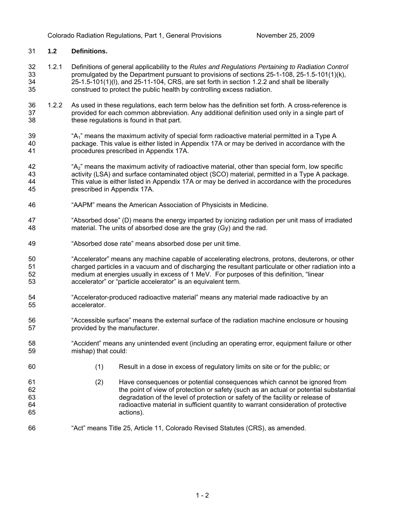# 31 **1.2 Definitions.**

- 32 33 34 35 1.2.1 Definitions of general applicability to the *Rules and Regulations Pertaining to Radiation Control*  promulgated by the Department pursuant to provisions of sections 25-1-108, 25-1.5-101(1)(k), 25-1.5-101(1)(l), and 25-11-104, CRS, are set forth in section 1.2.2 and shall be liberally construed to protect the public health by controlling excess radiation.
- 36 37 38 1.2.2 As used in these regulations, each term below has the definition set forth. A cross-reference is provided for each common abbreviation. Any additional definition used only in a single part of these regulations is found in that part.
- 39 40 41 "A<sub>1</sub>" means the maximum activity of special form radioactive material permitted in a Type A package. This value is either listed in Appendix 17A or may be derived in accordance with the procedures prescribed in Appendix 17A.
- 42 43 44 45 "A2" means the maximum activity of radioactive material, other than special form, low specific activity (LSA) and surface contaminated object (SCO) material, permitted in a Type A package. This value is either listed in Appendix 17A or may be derived in accordance with the procedures prescribed in Appendix 17A.
- 46 "AAPM" means the American Association of Physicists in Medicine.
- 47 48 "Absorbed dose" (D) means the energy imparted by ionizing radiation per unit mass of irradiated material. The units of absorbed dose are the gray (Gy) and the rad.
- 49 "Absorbed dose rate" means absorbed dose per unit time.
- 50 51 52 53 "Accelerator" means any machine capable of accelerating electrons, protons, deuterons, or other charged particles in a vacuum and of discharging the resultant particulate or other radiation into a medium at energies usually in excess of 1 MeV. For purposes of this definition, "linear accelerator" or "particle accelerator" is an equivalent term.
- 54 55 "Accelerator-produced radioactive material" means any material made radioactive by an accelerator.
- 56 57 "Accessible surface" means the external surface of the radiation machine enclosure or housing provided by the manufacturer.
- 58 59 "Accident" means any unintended event (including an operating error, equipment failure or other mishap) that could:
- 60

- (1) Result in a dose in excess of regulatory limits on site or for the public; or
- (2) Have consequences or potential consequences which cannot be ignored from the point of view of protection or safety (such as an actual or potential substantial degradation of the level of protection or safety of the facility or release of radioactive material in sufficient quantity to warrant consideration of protective actions).
- 66 "Act" means Title 25, Article 11, Colorado Revised Statutes (CRS), as amended.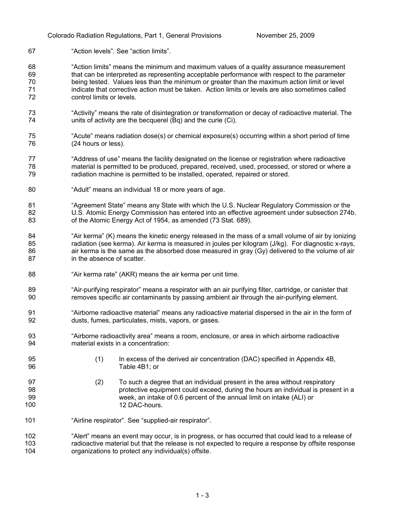- 67 "Action levels". See "action limits".
- 68 69 70 71 72 "Action limits" means the minimum and maximum values of a quality assurance measurement that can be interpreted as representing acceptable performance with respect to the parameter being tested. Values less than the minimum or greater than the maximum action limit or level indicate that corrective action must be taken. Action limits or levels are also sometimes called control limits or levels.
- 73 74 "Activity" means the rate of disintegration or transformation or decay of radioactive material. The units of activity are the becquerel (Bq) and the curie (Ci).
- 75 76 "Acute" means radiation dose(s) or chemical exposure(s) occurring within a short period of time (24 hours or less).
- 77 78 79 "Address of use" means the facility designated on the license or registration where radioactive material is permitted to be produced, prepared, received, used, processed, or stored or where a radiation machine is permitted to be installed, operated, repaired or stored.
- 80 "Adult" means an individual 18 or more years of age.
- 81 82 83 "Agreement State" means any State with which the U.S. Nuclear Regulatory Commission or the U.S. Atomic Energy Commission has entered into an effective agreement under subsection 274b. of the Atomic Energy Act of 1954, as amended (73 Stat. 689).
- 84 85 86 87 "Air kerma" (K) means the kinetic energy released in the mass of a small volume of air by ionizing radiation (see kerma). Air kerma is measured in joules per kilogram (J/kg). For diagnostic x-rays, air kerma is the same as the absorbed dose measured in gray (Gy) delivered to the volume of air in the absence of scatter.
- 88 "Air kerma rate" (AKR) means the air kerma per unit time.
- 89 90 "Air-purifying respirator" means a respirator with an air purifying filter, cartridge, or canister that removes specific air contaminants by passing ambient air through the air-purifying element.
- 91 92 "Airborne radioactive material" means any radioactive material dispersed in the air in the form of dusts, fumes, particulates, mists, vapors, or gases.
- 93 94 "Airborne radioactivity area" means a room, enclosure, or area in which airborne radioactive material exists in a concentration:
	- (1) In excess of the derived air concentration (DAC) specified in Appendix 4B, Table 4B1; or
- 97 98 99 100 (2) To such a degree that an individual present in the area without respiratory protective equipment could exceed, during the hours an individual is present in a week, an intake of 0.6 percent of the annual limit on intake (ALI) or 12 DAC-hours.
- 101 "Airline respirator". See "supplied-air respirator".

95 96

102 103 104 "Alert" means an event may occur, is in progress, or has occurred that could lead to a release of radioactive material but that the release is not expected to require a response by offsite response organizations to protect any individual(s) offsite.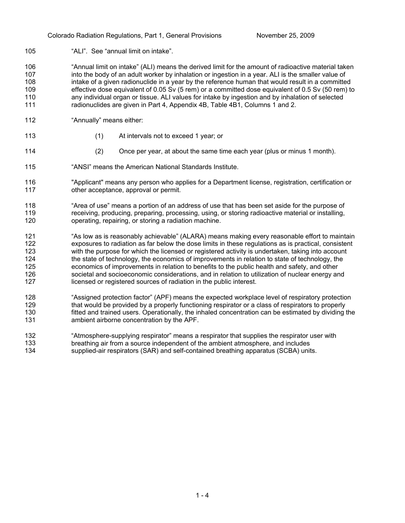105 "ALI". See "annual limit on intake".

106 107 108 109 110 111 "Annual limit on intake" (ALI) means the derived limit for the amount of radioactive material taken into the body of an adult worker by inhalation or ingestion in a year. ALI is the smaller value of intake of a given radionuclide in a year by the reference human that would result in a committed effective dose equivalent of 0.05 Sv (5 rem) or a committed dose equivalent of 0.5 Sv (50 rem) to any individual organ or tissue. ALI values for intake by ingestion and by inhalation of selected radionuclides are given in Part 4, Appendix 4B, Table 4B1, Columns 1 and 2.

- 112 "Annually" means either:
- 113
- (1) At intervals not to exceed 1 year; or
- 114
- 
- (2) Once per year, at about the same time each year (plus or minus 1 month).
- 115 "ANSI" means the American National Standards Institute.
- 116 117 "Applicant" means any person who applies for a Department license, registration, certification or other acceptance, approval or permit.
- 118 119 120 "Area of use" means a portion of an address of use that has been set aside for the purpose of receiving, producing, preparing, processing, using, or storing radioactive material or installing, operating, repairing, or storing a radiation machine.
- 121 122 123 124 125 126 127 "As low as is reasonably achievable" (ALARA) means making every reasonable effort to maintain exposures to radiation as far below the dose limits in these regulations as is practical, consistent with the purpose for which the licensed or registered activity is undertaken, taking into account the state of technology, the economics of improvements in relation to state of technology, the economics of improvements in relation to benefits to the public health and safety, and other societal and socioeconomic considerations, and in relation to utilization of nuclear energy and licensed or registered sources of radiation in the public interest.
- 128 129 130 131 "Assigned protection factor" (APF) means the expected workplace level of respiratory protection that would be provided by a properly functioning respirator or a class of respirators to properly fitted and trained users. Operationally, the inhaled concentration can be estimated by dividing the ambient airborne concentration by the APF.
- 132 133 134 "Atmosphere-supplying respirator" means a respirator that supplies the respirator user with breathing air from a source independent of the ambient atmosphere, and includes supplied-air respirators (SAR) and self-contained breathing apparatus (SCBA) units.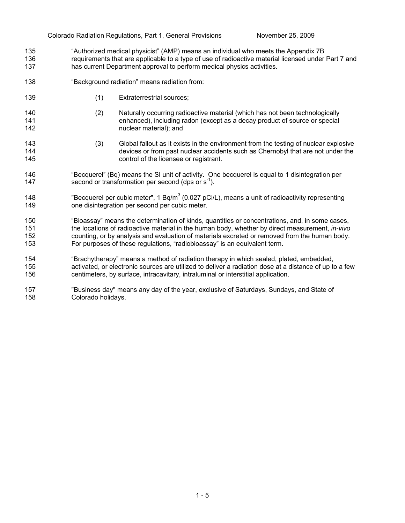- 135 136 137 "Authorized medical physicist" (AMP) means an individual who meets the Appendix 7B requirements that are applicable to a type of use of radioactive material licensed under Part 7 and has current Department approval to perform medical physics activities.
- 138 "Background radiation" means radiation from:
- 139 (1) Extraterrestrial sources;
- 140 141 142 (2) Naturally occurring radioactive material (which has not been technologically enhanced), including radon (except as a decay product of source or special nuclear material); and
- 143 144 145 (3) Global fallout as it exists in the environment from the testing of nuclear explosive devices or from past nuclear accidents such as Chernobyl that are not under the control of the licensee or registrant.
- 146 147 "Becquerel" (Bq) means the SI unit of activity. One becquerel is equal to 1 disintegration per second or transformation per second (dps or  $s^{-1}$ ).
- 148 149 "Becquerel per cubic meter", 1 Bq/m<sup>3</sup> (0.027 pCi/L), means a unit of radioactivity representing one disintegration per second per cubic meter.
- 150 151 152 153 "Bioassay" means the determination of kinds, quantities or concentrations, and, in some cases, the locations of radioactive material in the human body, whether by direct measurement, *in-vivo* counting, or by analysis and evaluation of materials excreted or removed from the human body. For purposes of these regulations, "radiobioassay" is an equivalent term.
- 154 155 156 "Brachytherapy" means a method of radiation therapy in which sealed, plated, embedded, activated, or electronic sources are utilized to deliver a radiation dose at a distance of up to a few centimeters, by surface, intracavitary, intraluminal or interstitial application.
- 157 158 "Business day" means any day of the year, exclusive of Saturdays, Sundays, and State of Colorado holidays.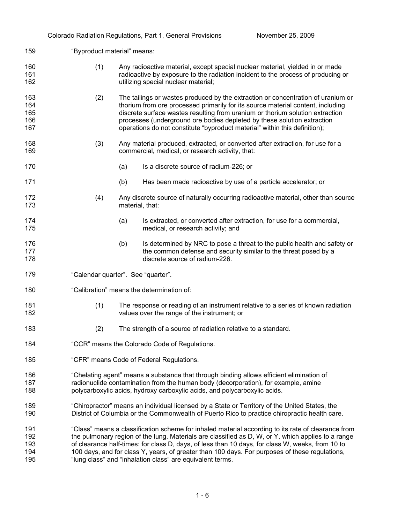|                                 |                                    |                                                                                                                                                                                                                                                             | Colorado Radiation Regulations, Part 1, General Provisions                                                                                                                                                                                                                                                                                                                                                                                                                  | November 25, 2009 |  |
|---------------------------------|------------------------------------|-------------------------------------------------------------------------------------------------------------------------------------------------------------------------------------------------------------------------------------------------------------|-----------------------------------------------------------------------------------------------------------------------------------------------------------------------------------------------------------------------------------------------------------------------------------------------------------------------------------------------------------------------------------------------------------------------------------------------------------------------------|-------------------|--|
| 159                             |                                    | "Byproduct material" means:                                                                                                                                                                                                                                 |                                                                                                                                                                                                                                                                                                                                                                                                                                                                             |                   |  |
| 160<br>161<br>162               | (1)                                |                                                                                                                                                                                                                                                             | Any radioactive material, except special nuclear material, yielded in or made<br>radioactive by exposure to the radiation incident to the process of producing or<br>utilizing special nuclear material;                                                                                                                                                                                                                                                                    |                   |  |
| 163<br>164<br>165<br>166<br>167 | (2)                                |                                                                                                                                                                                                                                                             | The tailings or wastes produced by the extraction or concentration of uranium or<br>thorium from ore processed primarily for its source material content, including<br>discrete surface wastes resulting from uranium or thorium solution extraction<br>processes (underground ore bodies depleted by these solution extraction<br>operations do not constitute "byproduct material" within this definition);                                                               |                   |  |
| 168<br>169                      | (3)                                |                                                                                                                                                                                                                                                             | Any material produced, extracted, or converted after extraction, for use for a<br>commercial, medical, or research activity, that:                                                                                                                                                                                                                                                                                                                                          |                   |  |
| 170                             |                                    | (a)                                                                                                                                                                                                                                                         | Is a discrete source of radium-226; or                                                                                                                                                                                                                                                                                                                                                                                                                                      |                   |  |
| 171                             |                                    | (b)                                                                                                                                                                                                                                                         | Has been made radioactive by use of a particle accelerator; or                                                                                                                                                                                                                                                                                                                                                                                                              |                   |  |
| 172<br>173                      | (4)                                | material, that:                                                                                                                                                                                                                                             | Any discrete source of naturally occurring radioactive material, other than source                                                                                                                                                                                                                                                                                                                                                                                          |                   |  |
| 174<br>175                      |                                    | (a)                                                                                                                                                                                                                                                         | Is extracted, or converted after extraction, for use for a commercial,<br>medical, or research activity; and                                                                                                                                                                                                                                                                                                                                                                |                   |  |
| 176<br>177<br>178               |                                    | (b)                                                                                                                                                                                                                                                         | Is determined by NRC to pose a threat to the public health and safety or<br>the common defense and security similar to the threat posed by a<br>discrete source of radium-226.                                                                                                                                                                                                                                                                                              |                   |  |
| 179                             | "Calendar quarter". See "quarter". |                                                                                                                                                                                                                                                             |                                                                                                                                                                                                                                                                                                                                                                                                                                                                             |                   |  |
| 180                             |                                    | "Calibration" means the determination of:                                                                                                                                                                                                                   |                                                                                                                                                                                                                                                                                                                                                                                                                                                                             |                   |  |
| 181<br>182                      | (1)                                |                                                                                                                                                                                                                                                             | The response or reading of an instrument relative to a series of known radiation<br>values over the range of the instrument; or                                                                                                                                                                                                                                                                                                                                             |                   |  |
| 183                             | (2)                                |                                                                                                                                                                                                                                                             | The strength of a source of radiation relative to a standard.                                                                                                                                                                                                                                                                                                                                                                                                               |                   |  |
| 184                             |                                    | "CCR" means the Colorado Code of Regulations.                                                                                                                                                                                                               |                                                                                                                                                                                                                                                                                                                                                                                                                                                                             |                   |  |
| 185                             |                                    | "CFR" means Code of Federal Regulations.                                                                                                                                                                                                                    |                                                                                                                                                                                                                                                                                                                                                                                                                                                                             |                   |  |
| 186<br>187<br>188               |                                    | "Chelating agent" means a substance that through binding allows efficient elimination of<br>radionuclide contamination from the human body (decorporation), for example, amine<br>polycarboxylic acids, hydroxy carboxylic acids, and polycarboxylic acids. |                                                                                                                                                                                                                                                                                                                                                                                                                                                                             |                   |  |
| 189<br>190                      |                                    | "Chiropractor" means an individual licensed by a State or Territory of the United States, the<br>District of Columbia or the Commonwealth of Puerto Rico to practice chiropractic health care.                                                              |                                                                                                                                                                                                                                                                                                                                                                                                                                                                             |                   |  |
| 191<br>192<br>193<br>194<br>195 |                                    |                                                                                                                                                                                                                                                             | "Class" means a classification scheme for inhaled material according to its rate of clearance from<br>the pulmonary region of the lung. Materials are classified as D, W, or Y, which applies to a range<br>of clearance half-times: for class D, days, of less than 10 days, for class W, weeks, from 10 to<br>100 days, and for class Y, years, of greater than 100 days. For purposes of these regulations,<br>"lung class" and "inhalation class" are equivalent terms. |                   |  |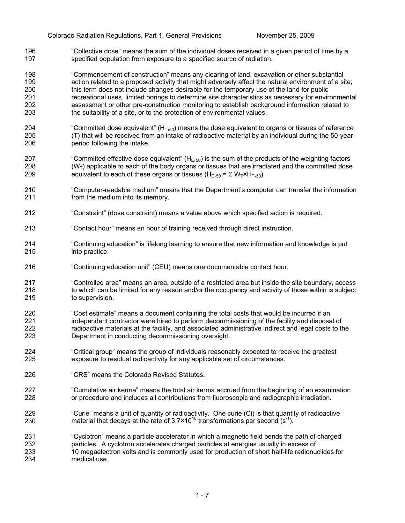196 197 "Collective dose" means the sum of the individual doses received in a given period of time by a specified population from exposure to a specified source of radiation.

198 199 200 201 202 203 "Commencement of construction" means any clearing of land, excavation or other substantial action related to a proposed activity that might adversely affect the natural environment of a site; this term does not include changes desirable for the temporary use of the land for public recreational uses, limited borings to determine site characteristics as necessary for environmental assessment or other pre-construction monitoring to establish background information related to the suitability of a site, or to the protection of environmental values.

- 204 205 206 "Committed dose equivalent" ( $H_{T,50}$ ) means the dose equivalent to organs or tissues of reference (T) that will be received from an intake of radioactive material by an individual during the 50-year period following the intake.
- 207 208 209 "Committed effective dose equivalent" ( $H<sub>E,50</sub>$ ) is the sum of the products of the weighting factors  $(W<sub>T</sub>)$  applicable to each of the body organs or tissues that are irradiated and the committed dose equivalent to each of these organs or tissues (H<sub>E</sub>,<sub>50</sub> =  $\Sigma$  W<sub>T</sub> $\star$ H<sub>T</sub>,<sub>50</sub>).
- 210 211 "Computer-readable medium" means that the Department's computer can transfer the information from the medium into its memory.
- 212 "Constraint" (dose constraint) means a value above which specified action is required.
- 213 "Contact hour" means an hour of training received through direct instruction.
- 214 215 "Continuing education" is lifelong learning to ensure that new information and knowledge is put into practice.
- 216 "Continuing education unit" (CEU) means one documentable contact hour.
- 217 218 219 "Controlled area" means an area, outside of a restricted area but inside the site boundary, access to which can be limited for any reason and/or the occupancy and activity of those within is subject to supervision.
- 220 221 222 223 "Cost estimate" means a document containing the total costs that would be incurred if an independent contractor were hired to perform decommissioning of the facility and disposal of radioactive materials at the facility, and associated administrative indirect and legal costs to the Department in conducting decommissioning oversight.
- 224 225 "Critical group" means the group of individuals reasonably expected to receive the greatest exposure to residual radioactivity for any applicable set of circumstances.
- 226 "CRS" means the Colorado Revised Statutes.
- 227 228 "Cumulative air kerma" means the total air kerma accrued from the beginning of an examination or procedure and includes all contributions from fluoroscopic and radiographic irradiation.
- 229 230 "Curie" means a unit of quantity of radioactivity. One curie (Ci) is that quantity of radioactive material that decays at the rate of  $3.7 \times 10^{10}$  transformations per second (s<sup>-1</sup>).
- 231 232 233 234 "Cyclotron" means a particle accelerator in which a magnetic field bends the path of charged particles. A cyclotron accelerates charged particles at energies usually in excess of 10 megaelectron volts and is commonly used for production of short half-life radionuclides for medical use.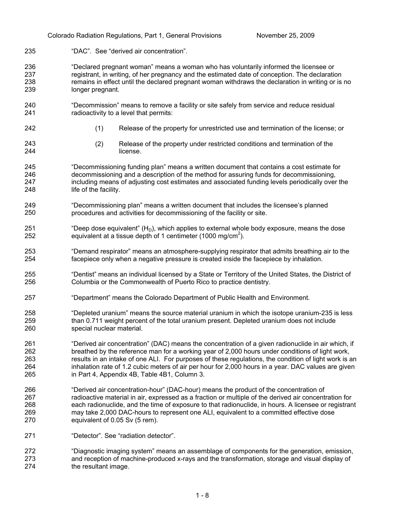235 "DAC". See "derived air concentration".

236 237 238 239 "Declared pregnant woman" means a woman who has voluntarily informed the licensee or registrant, in writing, of her pregnancy and the estimated date of conception. The declaration remains in effect until the declared pregnant woman withdraws the declaration in writing or is no longer pregnant.

- 240 241 "Decommission" means to remove a facility or site safely from service and reduce residual radioactivity to a level that permits:
- 242
- (1) Release of the property for unrestricted use and termination of the license; or

243 244

- (2) Release of the property under restricted conditions and termination of the license.
- 245 246 247 248 "Decommissioning funding plan" means a written document that contains a cost estimate for decommissioning and a description of the method for assuring funds for decommissioning, including means of adjusting cost estimates and associated funding levels periodically over the life of the facility.
- 249 250 "Decommissioning plan" means a written document that includes the licensee's planned procedures and activities for decommissioning of the facility or site.
- 251 252 "Deep dose equivalent"  $(H<sub>D</sub>)$ , which applies to external whole body exposure, means the dose equivalent at a tissue depth of 1 centimeter (1000 mg/cm<sup>2</sup>).
- 253 254 "Demand respirator" means an atmosphere-supplying respirator that admits breathing air to the facepiece only when a negative pressure is created inside the facepiece by inhalation.
- 255 256 "Dentist" means an individual licensed by a State or Territory of the United States, the District of Columbia or the Commonwealth of Puerto Rico to practice dentistry.
- 257 "Department" means the Colorado Department of Public Health and Environment.
- 258 259 260 "Depleted uranium" means the source material uranium in which the isotope uranium-235 is less than 0.711 weight percent of the total uranium present. Depleted uranium does not include special nuclear material.
- 261 262 263 264 265 "Derived air concentration" (DAC) means the concentration of a given radionuclide in air which, if breathed by the reference man for a working year of 2,000 hours under conditions of light work, results in an intake of one ALI. For purposes of these regulations, the condition of light work is an inhalation rate of 1.2 cubic meters of air per hour for 2,000 hours in a year. DAC values are given in Part 4, Appendix 4B, Table 4B1, Column 3.
- 266 267 268 269 270 "Derived air concentration-hour" (DAC-hour) means the product of the concentration of radioactive material in air, expressed as a fraction or multiple of the derived air concentration for each radionuclide, and the time of exposure to that radionuclide, in hours. A licensee or registrant may take 2,000 DAC-hours to represent one ALI, equivalent to a committed effective dose equivalent of 0.05 Sv (5 rem).
- 271 "Detector". See "radiation detector".
- 272 273 274 "Diagnostic imaging system" means an assemblage of components for the generation, emission, and reception of machine-produced x-rays and the transformation, storage and visual display of the resultant image.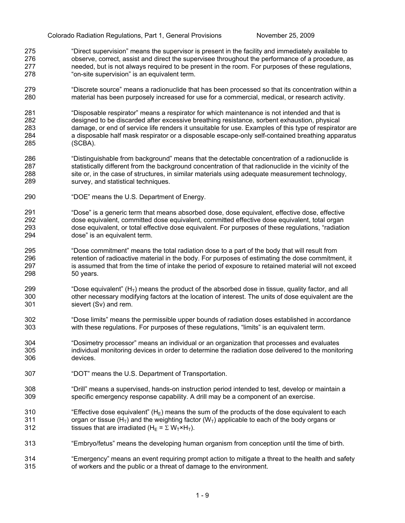- 275 276 277 278 "Direct supervision" means the supervisor is present in the facility and immediately available to observe, correct, assist and direct the supervisee throughout the performance of a procedure, as needed, but is not always required to be present in the room. For purposes of these regulations, "on-site supervision" is an equivalent term.
- 279 280 "Discrete source" means a radionuclide that has been processed so that its concentration within a material has been purposely increased for use for a commercial, medical, or research activity.
- 281 282 283 284 285 "Disposable respirator" means a respirator for which maintenance is not intended and that is designed to be discarded after excessive breathing resistance, sorbent exhaustion, physical damage, or end of service life renders it unsuitable for use. Examples of this type of respirator are a disposable half mask respirator or a disposable escape-only self-contained breathing apparatus (SCBA).
- 286 287 288 289 "Distinguishable from background" means that the detectable concentration of a radionuclide is statistically different from the background concentration of that radionuclide in the vicinity of the site or, in the case of structures, in similar materials using adequate measurement technology, survey, and statistical techniques.
- 290 "DOE" means the U.S. Department of Energy.
- 291 292 293 294 "Dose" is a generic term that means absorbed dose, dose equivalent, effective dose, effective dose equivalent, committed dose equivalent, committed effective dose equivalent, total organ dose equivalent, or total effective dose equivalent. For purposes of these regulations, "radiation dose" is an equivalent term.
- 295 296 297 298 "Dose commitment" means the total radiation dose to a part of the body that will result from retention of radioactive material in the body. For purposes of estimating the dose commitment, it is assumed that from the time of intake the period of exposure to retained material will not exceed 50 years.
- 299 300 301 "Dose equivalent"  $(H<sub>T</sub>)$  means the product of the absorbed dose in tissue, quality factor, and all other necessary modifying factors at the location of interest. The units of dose equivalent are the sievert (Sv) and rem.
- 302 303 "Dose limits" means the permissible upper bounds of radiation doses established in accordance with these regulations. For purposes of these regulations, "limits" is an equivalent term.
- 304 305 306 "Dosimetry processor" means an individual or an organization that processes and evaluates individual monitoring devices in order to determine the radiation dose delivered to the monitoring devices.
- 307 "DOT" means the U.S. Department of Transportation.
- 308 309 "Drill" means a supervised, hands-on instruction period intended to test, develop or maintain a specific emergency response capability. A drill may be a component of an exercise.
- 310 311 312 "Effective dose equivalent" ( $H_F$ ) means the sum of the products of the dose equivalent to each organ or tissue (H<sub>T</sub>) and the weighting factor (W<sub>T</sub>) applicable to each of the body organs or tissues that are irradiated (H<sub>E</sub> =  $\Sigma$  W<sub>T</sub>×H<sub>T</sub>).
- 313 "Embryo/fetus" means the developing human organism from conception until the time of birth.
- 314 315 "Emergency" means an event requiring prompt action to mitigate a threat to the health and safety of workers and the public or a threat of damage to the environment.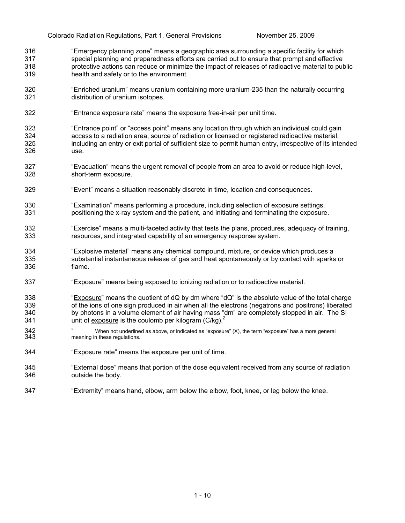- 316 317 318 319 "Emergency planning zone" means a geographic area surrounding a specific facility for which special planning and preparedness efforts are carried out to ensure that prompt and effective protective actions can reduce or minimize the impact of releases of radioactive material to public health and safety or to the environment.
- 320 321 "Enriched uranium" means uranium containing more uranium-235 than the naturally occurring distribution of uranium isotopes.
- 322 "Entrance exposure rate" means the exposure free-in-air per unit time.
- 323 324 325 326 "Entrance point" or "access point" means any location through which an individual could gain access to a radiation area, source of radiation or licensed or registered radioactive material, including an entry or exit portal of sufficient size to permit human entry, irrespective of its intended use.
- 327 328 "Evacuation" means the urgent removal of people from an area to avoid or reduce high-level, short-term exposure.
- 329 "Event" means a situation reasonably discrete in time, location and consequences.
- 330 331 "Examination" means performing a procedure, including selection of exposure settings, positioning the x-ray system and the patient, and initiating and terminating the exposure.
- 332 333 "Exercise" means a multi-faceted activity that tests the plans, procedures, adequacy of training, resources, and integrated capability of an emergency response system.
- 334 335 336 "Explosive material" means any chemical compound, mixture, or device which produces a substantial instantaneous release of gas and heat spontaneously or by contact with sparks or flame.
- 337 "Exposure" means being exposed to ionizing radiation or to radioactive material.
- "Exposure" means the quotient of dQ by dm where "dQ" is the absolute value of the total charge of the ions of one sign produced in air when all the electrons (negatrons and positrons) liberated by photons in a volume element of air having mass "dm" are completely stopped in air. The SI 341 **unit of exposure is the coulomb per kilogram**  $(C/kg)^2$ 338 339 340
- 342 343 <sup>2</sup> When not underlined as above, or indicated as "exposure" (X), the term "exposure" has a more general meaning in these regulations.
- 344 "Exposure rate" means the exposure per unit of time.
- 345 346 "External dose" means that portion of the dose equivalent received from any source of radiation outside the body.
- 347 "Extremity" means hand, elbow, arm below the elbow, foot, knee, or leg below the knee.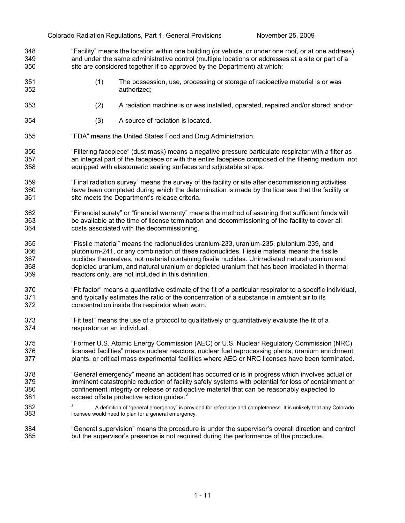- 348 349 350 "Facility" means the location within one building (or vehicle, or under one roof, or at one address) and under the same administrative control (multiple locations or addresses at a site or part of a site are considered together if so approved by the Department) at which:
- 351 352 (1) The possession, use, processing or storage of radioactive material is or was authorized;
- 353 (2) A radiation machine is or was installed, operated, repaired and/or stored; and/or
- 354 (3) A source of radiation is located.
- 355 "FDA" means the United States Food and Drug Administration.
- 356 357 358 "Filtering facepiece" (dust mask) means a negative pressure particulate respirator with a filter as an integral part of the facepiece or with the entire facepiece composed of the filtering medium, not equipped with elastomeric sealing surfaces and adjustable straps.
- 359 360 361 "Final radiation survey" means the survey of the facility or site after decommissioning activities have been completed during which the determination is made by the licensee that the facility or site meets the Department's release criteria.
- 362 363 364 "Financial surety" or "financial warranty" means the method of assuring that sufficient funds will be available at the time of license termination and decommissioning of the facility to cover all costs associated with the decommissioning.
- 365 366 367 368 369 "Fissile material" means the radionuclides uranium-233, uranium-235, plutonium-239, and plutonium-241, or any combination of these radionuclides. Fissile material means the fissile nuclides themselves, not material containing fissile nuclides. Unirradiated natural uranium and depleted uranium, and natural uranium or depleted uranium that has been irradiated in thermal reactors only, are not included in this definition.
- 370 371 372 "Fit factor" means a quantitative estimate of the fit of a particular respirator to a specific individual, and typically estimates the ratio of the concentration of a substance in ambient air to its concentration inside the respirator when worn.
- 373 374 "Fit test" means the use of a protocol to qualitatively or quantitatively evaluate the fit of a respirator on an individual.
- 375 376 377 "Former U.S. Atomic Energy Commission (AEC) or U.S. Nuclear Regulatory Commission (NRC) licensed facilities" means nuclear reactors, nuclear fuel reprocessing plants, uranium enrichment plants, or critical mass experimental facilities where AEC or NRC licenses have been terminated.
- 378 379 380 381 "General emergency" means an accident has occurred or is in progress which involves actual or imminent catastrophic reduction of facility safety systems with potential for loss of containment or confinement integrity or release of radioactive material that can be reasonably expected to exceed offsite protective action quides.<sup>3</sup>
- 382 383  $3$  A definition of "general emergency" is provided for reference and completeness. It is unlikely that any Colorado licensee would need to plan for a general emergency.
- 384 385 "General supervision" means the procedure is under the supervisor's overall direction and control but the supervisor's presence is not required during the performance of the procedure.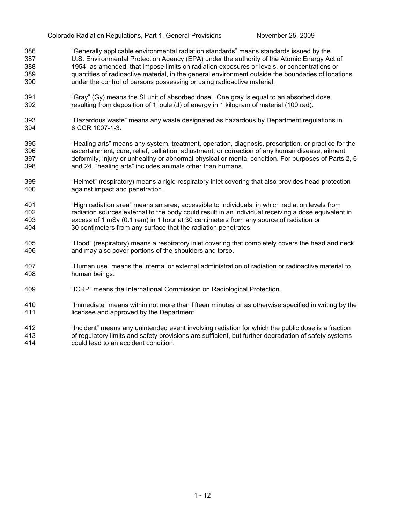- 386 387 388 389 390 "Generally applicable environmental radiation standards" means standards issued by the U.S. Environmental Protection Agency (EPA) under the authority of the Atomic Energy Act of 1954, as amended, that impose limits on radiation exposures or levels, or concentrations or quantities of radioactive material, in the general environment outside the boundaries of locations under the control of persons possessing or using radioactive material.
- 391 392 "Gray" (Gy) means the SI unit of absorbed dose. One gray is equal to an absorbed dose resulting from deposition of 1 joule (J) of energy in 1 kilogram of material (100 rad).
- 393 394 "Hazardous waste" means any waste designated as hazardous by Department regulations in 6 CCR 1007-1-3.
- 395 396 397 398 "Healing arts" means any system, treatment, operation, diagnosis, prescription, or practice for the ascertainment, cure, relief, palliation, adjustment, or correction of any human disease, ailment, deformity, injury or unhealthy or abnormal physical or mental condition. For purposes of Parts 2, 6 and 24, "healing arts" includes animals other than humans.
- 399 400 "Helmet" (respiratory) means a rigid respiratory inlet covering that also provides head protection against impact and penetration.
- 401 402 403 404 "High radiation area" means an area, accessible to individuals, in which radiation levels from radiation sources external to the body could result in an individual receiving a dose equivalent in excess of 1 mSv (0.1 rem) in 1 hour at 30 centimeters from any source of radiation or 30 centimeters from any surface that the radiation penetrates.
- 405 406 "Hood" (respiratory) means a respiratory inlet covering that completely covers the head and neck and may also cover portions of the shoulders and torso.
- 407 408 "Human use" means the internal or external administration of radiation or radioactive material to human beings.
- 409 "ICRP" means the International Commission on Radiological Protection.
- 410 411 "Immediate" means within not more than fifteen minutes or as otherwise specified in writing by the licensee and approved by the Department.
- 412 413 414 "Incident" means any unintended event involving radiation for which the public dose is a fraction of regulatory limits and safety provisions are sufficient, but further degradation of safety systems could lead to an accident condition.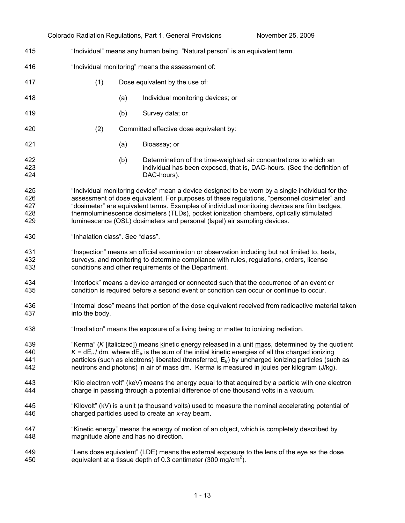|                                 |                                       |                                                                                                                                                                                                                                                                                                                                                                                                                                                                      | Colorado Radiation Regulations, Part 1, General Provisions                                                                                                                                | November 25, 2009 |  |
|---------------------------------|---------------------------------------|----------------------------------------------------------------------------------------------------------------------------------------------------------------------------------------------------------------------------------------------------------------------------------------------------------------------------------------------------------------------------------------------------------------------------------------------------------------------|-------------------------------------------------------------------------------------------------------------------------------------------------------------------------------------------|-------------------|--|
| 415                             |                                       |                                                                                                                                                                                                                                                                                                                                                                                                                                                                      | "Individual" means any human being. "Natural person" is an equivalent term.                                                                                                               |                   |  |
| 416                             |                                       | "Individual monitoring" means the assessment of:                                                                                                                                                                                                                                                                                                                                                                                                                     |                                                                                                                                                                                           |                   |  |
| 417                             | (1)                                   |                                                                                                                                                                                                                                                                                                                                                                                                                                                                      | Dose equivalent by the use of:                                                                                                                                                            |                   |  |
| 418                             |                                       | (a)                                                                                                                                                                                                                                                                                                                                                                                                                                                                  | Individual monitoring devices; or                                                                                                                                                         |                   |  |
| 419                             |                                       | (b)                                                                                                                                                                                                                                                                                                                                                                                                                                                                  | Survey data; or                                                                                                                                                                           |                   |  |
| 420                             | (2)                                   |                                                                                                                                                                                                                                                                                                                                                                                                                                                                      | Committed effective dose equivalent by:                                                                                                                                                   |                   |  |
| 421                             |                                       | (a)                                                                                                                                                                                                                                                                                                                                                                                                                                                                  | Bioassay; or                                                                                                                                                                              |                   |  |
| 422<br>423<br>424               |                                       | (b)                                                                                                                                                                                                                                                                                                                                                                                                                                                                  | Determination of the time-weighted air concentrations to which an<br>individual has been exposed, that is, DAC-hours. (See the definition of<br>DAC-hours).                               |                   |  |
| 425<br>426<br>427<br>428<br>429 |                                       | "Individual monitoring device" mean a device designed to be worn by a single individual for the<br>assessment of dose equivalent. For purposes of these regulations, "personnel dosimeter" and<br>"dosimeter" are equivalent terms. Examples of individual monitoring devices are film badges,<br>thermoluminescence dosimeters (TLDs), pocket ionization chambers, optically stimulated<br>luminescence (OSL) dosimeters and personal (lapel) air sampling devices. |                                                                                                                                                                                           |                   |  |
| 430                             |                                       | "Inhalation class". See "class".                                                                                                                                                                                                                                                                                                                                                                                                                                     |                                                                                                                                                                                           |                   |  |
| 431<br>432<br>433               |                                       | "Inspection" means an official examination or observation including but not limited to, tests,<br>surveys, and monitoring to determine compliance with rules, regulations, orders, license<br>conditions and other requirements of the Department.                                                                                                                                                                                                                   |                                                                                                                                                                                           |                   |  |
| 434<br>435                      |                                       | "Interlock" means a device arranged or connected such that the occurrence of an event or<br>condition is required before a second event or condition can occur or continue to occur.                                                                                                                                                                                                                                                                                 |                                                                                                                                                                                           |                   |  |
| 436<br>437                      | into the body.                        | "Internal dose" means that portion of the dose equivalent received from radioactive material taken                                                                                                                                                                                                                                                                                                                                                                   |                                                                                                                                                                                           |                   |  |
| 438                             |                                       | 'Irradiation" means the exposure of a living being or matter to ionizing radiation.                                                                                                                                                                                                                                                                                                                                                                                  |                                                                                                                                                                                           |                   |  |
| 439<br>440<br>441<br>442        |                                       | "Kerma" (K [italicized]) means kinetic energy released in a unit mass, determined by the quotient<br>$K = dE_{tr}/dm$ , where $dE_{tr}$ is the sum of the initial kinetic energies of all the charged ionizing<br>particles (such as electrons) liberated (transferred, $E_{tr}$ ) by uncharged ionizing particles (such as<br>neutrons and photons) in air of mass dm. Kerma is measured in joules per kilogram (J/kg).                                             |                                                                                                                                                                                           |                   |  |
| 443<br>444                      |                                       |                                                                                                                                                                                                                                                                                                                                                                                                                                                                      | "Kilo electron volt" (keV) means the energy equal to that acquired by a particle with one electron<br>charge in passing through a potential difference of one thousand volts in a vacuum. |                   |  |
| 445<br>446                      |                                       |                                                                                                                                                                                                                                                                                                                                                                                                                                                                      | "Kilovolt" (kV) is a unit (a thousand volts) used to measure the nominal accelerating potential of<br>charged particles used to create an x-ray beam.                                     |                   |  |
| 447<br>448                      | magnitude alone and has no direction. |                                                                                                                                                                                                                                                                                                                                                                                                                                                                      | "Kinetic energy" means the energy of motion of an object, which is completely described by                                                                                                |                   |  |
| 449<br>450                      |                                       |                                                                                                                                                                                                                                                                                                                                                                                                                                                                      | "Lens dose equivalent" (LDE) means the external exposure to the lens of the eye as the dose<br>equivalent at a tissue depth of 0.3 centimeter (300 mg/cm <sup>2</sup> ).                  |                   |  |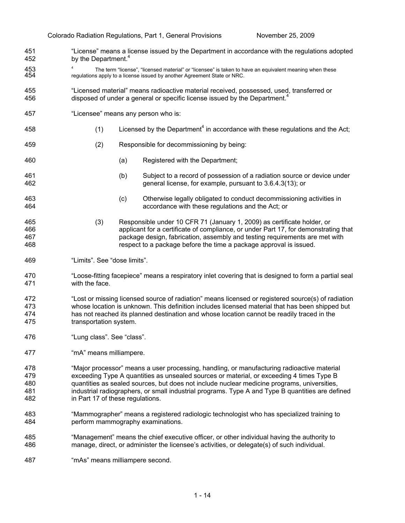451 452 453 454 455 456 457 458 459 460 461 462 463 464 465 466 467 468 469 470 471 472 473 474 475 476 477 478 479 480 481 482 483 484 485 486 487 "License" means a license issued by the Department in accordance with the regulations adopted by the Department.<sup>4</sup> 4 The term "license", "licensed material" or "licensee" is taken to have an equivalent meaning when these regulations apply to a license issued by another Agreement State or NRC. "Licensed material" means radioactive material received, possessed, used, transferred or disposed of under a general or specific license issued by the Department.<sup>4</sup> "Licensee" means any person who is:  $(1)$  Licensed by the Department<sup>4</sup> in accordance with these regulations and the Act; (2) Responsible for decommissioning by being: (a) Registered with the Department; (b) Subject to a record of possession of a radiation source or device under general license, for example, pursuant to 3.6.4.3(13); or (c) Otherwise legally obligated to conduct decommissioning activities in accordance with these regulations and the Act; or (3) Responsible under 10 CFR 71 (January 1, 2009) as certificate holder, or applicant for a certificate of compliance, or under Part 17, for demonstrating that package design, fabrication, assembly and testing requirements are met with respect to a package before the time a package approval is issued. "Limits". See "dose limits". "Loose-fitting facepiece" means a respiratory inlet covering that is designed to form a partial seal with the face. "Lost or missing licensed source of radiation" means licensed or registered source(s) of radiation whose location is unknown. This definition includes licensed material that has been shipped but has not reached its planned destination and whose location cannot be readily traced in the transportation system. "Lung class". See "class". "mA" means milliampere. "Major processor" means a user processing, handling, or manufacturing radioactive material exceeding Type A quantities as unsealed sources or material, or exceeding 4 times Type B quantities as sealed sources, but does not include nuclear medicine programs, universities, industrial radiographers, or small industrial programs. Type A and Type B quantities are defined in Part 17 of these regulations. "Mammographer" means a registered radiologic technologist who has specialized training to perform mammography examinations. "Management" means the chief executive officer, or other individual having the authority to manage, direct, or administer the licensee's activities, or delegate(s) of such individual. "mAs" means milliampere second.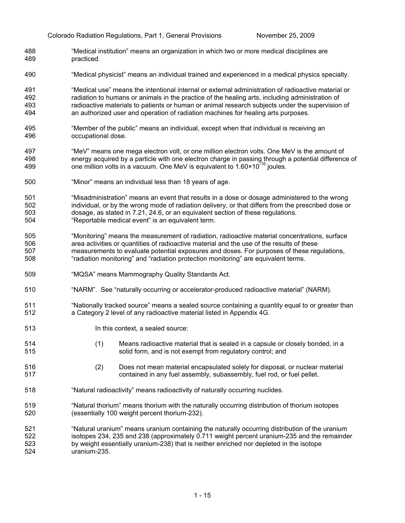- 488 489 "Medical institution" means an organization in which two or more medical disciplines are practiced.
- 490 "Medical physicist" means an individual trained and experienced in a medical physics specialty.

491 492 493 494 "Medical use" means the intentional internal or external administration of radioactive material or radiation to humans or animals in the practice of the healing arts, including administration of radioactive materials to patients or human or animal research subjects under the supervision of an authorized user and operation of radiation machines for healing arts purposes.

- 495 496 "Member of the public" means an individual, except when that individual is receiving an occupational dose.
- 497 498 499 "MeV" means one mega electron volt, or one million electron volts. One MeV is the amount of energy acquired by a particle with one electron charge in passing through a potential difference of one million volts in a vacuum. One MeV is equivalent to  $1.60 \times 10^{-16}$  joules.
- 500 "Minor" means an individual less than 18 years of age.
- 501 502 503 504 "Misadministration" means an event that results in a dose or dosage administered to the wrong individual, or by the wrong mode of radiation delivery, or that differs from the prescribed dose or dosage, as stated in 7.21, 24.6, or an equivalent section of these regulations. "Reportable medical event" is an equivalent term.
- 505 506 507 508 "Monitoring" means the measurement of radiation, radioactive material concentrations, surface area activities or quantities of radioactive material and the use of the results of these measurements to evaluate potential exposures and doses. For purposes of these regulations, "radiation monitoring" and "radiation protection monitoring" are equivalent terms.
- 509 "MQSA" means Mammography Quality Standards Act.
- 510 "NARM". See "naturally occurring or accelerator-produced radioactive material" (NARM).
- 511 512 "Nationally tracked source" means a sealed source containing a quantity equal to or greater than a Category 2 level of any radioactive material listed in Appendix 4G.
- 513 In this context, a sealed source:

514 515

- (1) Means radioactive material that is sealed in a capsule or closely bonded, in a solid form, and is not exempt from regulatory control; and
- 516 517 (2) Does not mean material encapsulated solely for disposal, or nuclear material contained in any fuel assembly, subassembly, fuel rod, or fuel pellet.
- 518 "Natural radioactivity" means radioactivity of naturally occurring nuclides.
- 519 520 "Natural thorium" means thorium with the naturally occurring distribution of thorium isotopes (essentially 100 weight percent thorium-232).
- 521 522 523 524 "Natural uranium" means uranium containing the naturally occurring distribution of the uranium isotopes 234, 235 and 238 (approximately 0.711 weight percent uranium-235 and the remainder by weight essentially uranium-238) that is neither enriched nor depleted in the isotope uranium-235.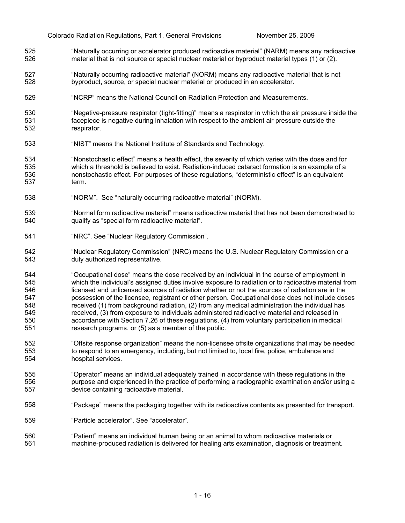- 525 526 "Naturally occurring or accelerator produced radioactive material" (NARM) means any radioactive material that is not source or special nuclear material or byproduct material types (1) or (2).
- 527 528 "Naturally occurring radioactive material" (NORM) means any radioactive material that is not byproduct, source, or special nuclear material or produced in an accelerator.
- 529 "NCRP" means the National Council on Radiation Protection and Measurements.
- 530 531 532 "Negative-pressure respirator (tight-fitting)" means a respirator in which the air pressure inside the facepiece is negative during inhalation with respect to the ambient air pressure outside the respirator.
- 533 "NIST" means the National Institute of Standards and Technology.
- 534 535 536 537 "Nonstochastic effect" means a health effect, the severity of which varies with the dose and for which a threshold is believed to exist. Radiation-induced cataract formation is an example of a nonstochastic effect. For purposes of these regulations, "deterministic effect" is an equivalent term.
- 538 "NORM". See "naturally occurring radioactive material" (NORM).

539 540 "Normal form radioactive material" means radioactive material that has not been demonstrated to qualify as "special form radioactive material".

- 541 "NRC". See "Nuclear Regulatory Commission".
- 542 543 "Nuclear Regulatory Commission" (NRC) means the U.S. Nuclear Regulatory Commission or a duly authorized representative.
- 544 545 546 547 548 549 550 551 "Occupational dose" means the dose received by an individual in the course of employment in which the individual's assigned duties involve exposure to radiation or to radioactive material from licensed and unlicensed sources of radiation whether or not the sources of radiation are in the possession of the licensee, registrant or other person. Occupational dose does not include doses received (1) from background radiation, (2) from any medical administration the individual has received, (3) from exposure to individuals administered radioactive material and released in accordance with Section 7.26 of these regulations, (4) from voluntary participation in medical research programs, or (5) as a member of the public.
- 552 553 554 "Offsite response organization" means the non-licensee offsite organizations that may be needed to respond to an emergency, including, but not limited to, local fire, police, ambulance and hospital services.
- 555 556 557 "Operator" means an individual adequately trained in accordance with these regulations in the purpose and experienced in the practice of performing a radiographic examination and/or using a device containing radioactive material.
- 558 "Package" means the packaging together with its radioactive contents as presented for transport.
- 559 "Particle accelerator". See "accelerator".
- 560 561 "Patient" means an individual human being or an animal to whom radioactive materials or machine-produced radiation is delivered for healing arts examination, diagnosis or treatment.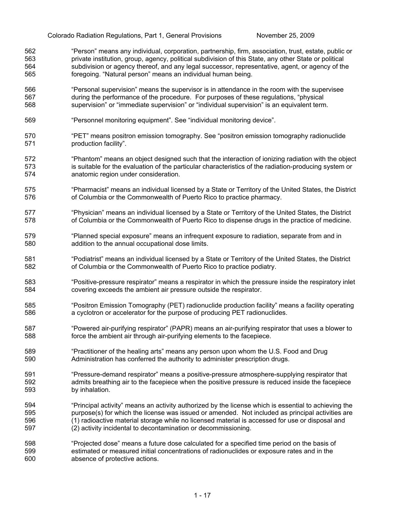- 562 563 564 565 "Person" means any individual, corporation, partnership, firm, association, trust, estate, public or private institution, group, agency, political subdivision of this State, any other State or political subdivision or agency thereof, and any legal successor, representative, agent, or agency of the foregoing. "Natural person" means an individual human being.
- 566 567 568 "Personal supervision" means the supervisor is in attendance in the room with the supervisee during the performance of the procedure. For purposes of these regulations, "physical supervision" or "immediate supervision" or "individual supervision" is an equivalent term.
- 569 "Personnel monitoring equipment". See "individual monitoring device".
- 570 571 "PET" means positron emission tomography. See "positron emission tomography radionuclide production facility".
- 572 573 574 "Phantom" means an object designed such that the interaction of ionizing radiation with the object is suitable for the evaluation of the particular characteristics of the radiation-producing system or anatomic region under consideration.
- 575 576 "Pharmacist" means an individual licensed by a State or Territory of the United States, the District of Columbia or the Commonwealth of Puerto Rico to practice pharmacy.
- 577 578 "Physician" means an individual licensed by a State or Territory of the United States, the District of Columbia or the Commonwealth of Puerto Rico to dispense drugs in the practice of medicine.
- 579 580 "Planned special exposure" means an infrequent exposure to radiation, separate from and in addition to the annual occupational dose limits.
- 581 582 "Podiatrist" means an individual licensed by a State or Territory of the United States, the District of Columbia or the Commonwealth of Puerto Rico to practice podiatry.
- 583 584 "Positive-pressure respirator" means a respirator in which the pressure inside the respiratory inlet covering exceeds the ambient air pressure outside the respirator.
- 585 586 "Positron Emission Tomography (PET) radionuclide production facility" means a facility operating a cyclotron or accelerator for the purpose of producing PET radionuclides.
- 587 588 "Powered air-purifying respirator" (PAPR) means an air-purifying respirator that uses a blower to force the ambient air through air-purifying elements to the facepiece.
- 589 590 "Practitioner of the healing arts" means any person upon whom the U.S. Food and Drug Administration has conferred the authority to administer prescription drugs.
- 591 592 593 "Pressure-demand respirator" means a positive-pressure atmosphere-supplying respirator that admits breathing air to the facepiece when the positive pressure is reduced inside the facepiece by inhalation.
- 594 595 596 597 "Principal activity" means an activity authorized by the license which is essential to achieving the purpose(s) for which the license was issued or amended. Not included as principal activities are (1) radioactive material storage while no licensed material is accessed for use or disposal and (2) activity incidental to decontamination or decommissioning.
- 598 599 600 "Projected dose" means a future dose calculated for a specified time period on the basis of estimated or measured initial concentrations of radionuclides or exposure rates and in the absence of protective actions.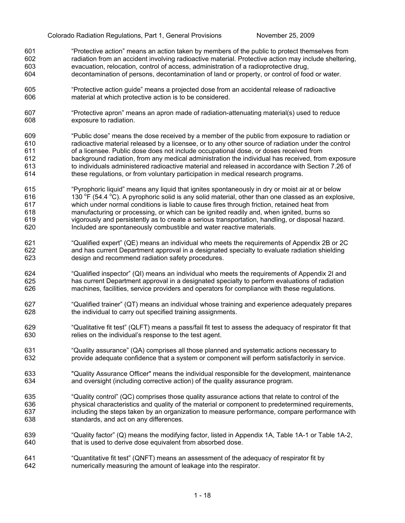- 601 602 603 604 "Protective action" means an action taken by members of the public to protect themselves from radiation from an accident involving radioactive material. Protective action may include sheltering, evacuation, relocation, control of access, administration of a radioprotective drug, decontamination of persons, decontamination of land or property, or control of food or water.
- 605 606 "Protective action guide" means a projected dose from an accidental release of radioactive material at which protective action is to be considered.
- 607 608 "Protective apron" means an apron made of radiation-attenuating material(s) used to reduce exposure to radiation.
- 609 610 611 612 613 614 "Public dose" means the dose received by a member of the public from exposure to radiation or radioactive material released by a licensee, or to any other source of radiation under the control of a licensee. Public dose does not include occupational dose, or doses received from background radiation, from any medical administration the individual has received, from exposure to individuals administered radioactive material and released in accordance with Section 7.26 of these regulations, or from voluntary participation in medical research programs.
- 615 616 617 618 619 620 "Pyrophoric liquid" means any liquid that ignites spontaneously in dry or moist air at or below 130  $\degree$ F (54.4  $\degree$ C). A pyrophoric solid is any solid material, other than one classed as an explosive, which under normal conditions is liable to cause fires through friction, retained heat from manufacturing or processing, or which can be ignited readily and, when ignited, burns so vigorously and persistently as to create a serious transportation, handling, or disposal hazard. Included are spontaneously combustible and water reactive materials.
- 621 622 623 "Qualified expert" (QE) means an individual who meets the requirements of Appendix 2B or 2C and has current Department approval in a designated specialty to evaluate radiation shielding design and recommend radiation safety procedures.
- 624 625 626 "Qualified inspector" (QI) means an individual who meets the requirements of Appendix 2I and has current Department approval in a designated specialty to perform evaluations of radiation machines, facilities, service providers and operators for compliance with these regulations.
- 627 628 "Qualified trainer" (QT) means an individual whose training and experience adequately prepares the individual to carry out specified training assignments.
- 629 630 "Qualitative fit test" (QLFT) means a pass/fail fit test to assess the adequacy of respirator fit that relies on the individual's response to the test agent.
- 631 632 "Quality assurance" (QA) comprises all those planned and systematic actions necessary to provide adequate confidence that a system or component will perform satisfactorily in service.
- 633 634 "Quality Assurance Officer" means the individual responsible for the development, maintenance and oversight (including corrective action) of the quality assurance program.
- 635 636 637 638 "Quality control" (QC) comprises those quality assurance actions that relate to control of the physical characteristics and quality of the material or component to predetermined requirements, including the steps taken by an organization to measure performance, compare performance with standards, and act on any differences.
- 639 640 "Quality factor" (Q) means the modifying factor, listed in Appendix 1A, Table 1A-1 or Table 1A-2, that is used to derive dose equivalent from absorbed dose.
- 641 642 "Quantitative fit test" (QNFT) means an assessment of the adequacy of respirator fit by numerically measuring the amount of leakage into the respirator.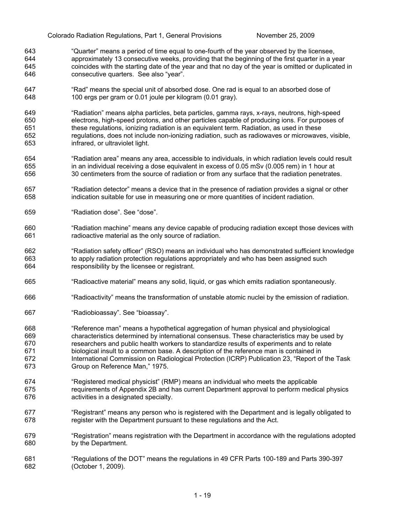- 643 644 645 646 "Quarter" means a period of time equal to one-fourth of the year observed by the licensee, approximately 13 consecutive weeks, providing that the beginning of the first quarter in a year coincides with the starting date of the year and that no day of the year is omitted or duplicated in consecutive quarters. See also "year".
- 647 648 "Rad" means the special unit of absorbed dose. One rad is equal to an absorbed dose of 100 ergs per gram or 0.01 joule per kilogram (0.01 gray).
- 649 650 651 652 653 "Radiation" means alpha particles, beta particles, gamma rays, x-rays, neutrons, high-speed electrons, high-speed protons, and other particles capable of producing ions. For purposes of these regulations, ionizing radiation is an equivalent term. Radiation, as used in these regulations, does not include non-ionizing radiation, such as radiowaves or microwaves, visible, infrared, or ultraviolet light.
- 654 655 656 "Radiation area" means any area, accessible to individuals, in which radiation levels could result in an individual receiving a dose equivalent in excess of 0.05 mSv (0.005 rem) in 1 hour at 30 centimeters from the source of radiation or from any surface that the radiation penetrates.
- 657 658 "Radiation detector" means a device that in the presence of radiation provides a signal or other indication suitable for use in measuring one or more quantities of incident radiation.
- 659 "Radiation dose". See "dose".
- 660 661 "Radiation machine" means any device capable of producing radiation except those devices with radioactive material as the only source of radiation.
- 662 663 664 "Radiation safety officer" (RSO) means an individual who has demonstrated sufficient knowledge to apply radiation protection regulations appropriately and who has been assigned such responsibility by the licensee or registrant.
- 665 "Radioactive material" means any solid, liquid, or gas which emits radiation spontaneously.
- 666 "Radioactivity" means the transformation of unstable atomic nuclei by the emission of radiation.
- 667 "Radiobioassay". See "bioassay".
- 668 669 670 671 672 673 "Reference man" means a hypothetical aggregation of human physical and physiological characteristics determined by international consensus. These characteristics may be used by researchers and public health workers to standardize results of experiments and to relate biological insult to a common base. A description of the reference man is contained in International Commission on Radiological Protection (ICRP) Publication 23, "Report of the Task Group on Reference Man," 1975.
- 674 675 676 "Registered medical physicist" (RMP) means an individual who meets the applicable requirements of Appendix 2B and has current Department approval to perform medical physics activities in a designated specialty.
- 677 678 "Registrant" means any person who is registered with the Department and is legally obligated to register with the Department pursuant to these regulations and the Act.
- 679 680 "Registration" means registration with the Department in accordance with the regulations adopted by the Department.
- 681 682 "Regulations of the DOT" means the regulations in 49 CFR Parts 100-189 and Parts 390-397 (October 1, 2009).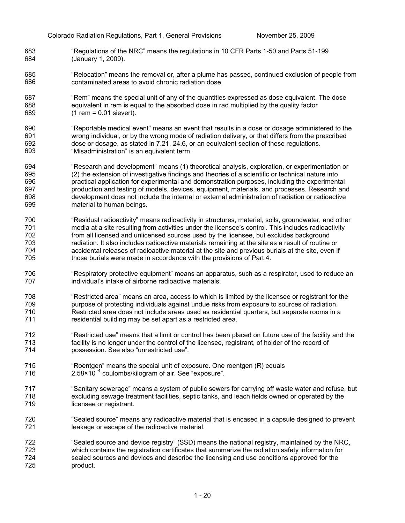- 683 684 "Regulations of the NRC" means the regulations in 10 CFR Parts 1-50 and Parts 51-199 (January 1, 2009).
- 685 686 "Relocation" means the removal or, after a plume has passed, continued exclusion of people from contaminated areas to avoid chronic radiation dose.
- 687 688 689 "Rem" means the special unit of any of the quantities expressed as dose equivalent. The dose equivalent in rem is equal to the absorbed dose in rad multiplied by the quality factor  $(1$  rem = 0.01 sievert).
- 690 691 692 693 "Reportable medical event" means an event that results in a dose or dosage administered to the wrong individual, or by the wrong mode of radiation delivery, or that differs from the prescribed dose or dosage, as stated in 7.21, 24.6, or an equivalent section of these regulations. "Misadministration" is an equivalent term.
- 694 695 696 697 698 699 "Research and development" means (1) theoretical analysis, exploration, or experimentation or (2) the extension of investigative findings and theories of a scientific or technical nature into practical application for experimental and demonstration purposes, including the experimental production and testing of models, devices, equipment, materials, and processes. Research and development does not include the internal or external administration of radiation or radioactive material to human beings.
- 700 701 702 703 704 705 "Residual radioactivity" means radioactivity in structures, materiel, soils, groundwater, and other media at a site resulting from activities under the licensee's control. This includes radioactivity from all licensed and unlicensed sources used by the licensee, but excludes background radiation. It also includes radioactive materials remaining at the site as a result of routine or accidental releases of radioactive material at the site and previous burials at the site, even if those burials were made in accordance with the provisions of Part 4.
- 706 707 "Respiratory protective equipment" means an apparatus, such as a respirator, used to reduce an individual's intake of airborne radioactive materials.
- 708 709 710 711 "Restricted area" means an area, access to which is limited by the licensee or registrant for the purpose of protecting individuals against undue risks from exposure to sources of radiation. Restricted area does not include areas used as residential quarters, but separate rooms in a residential building may be set apart as a restricted area.
- 712 713 714 "Restricted use" means that a limit or control has been placed on future use of the facility and the facility is no longer under the control of the licensee, registrant, of holder of the record of possession. See also "unrestricted use".
- 715 716 "Roentgen" means the special unit of exposure. One roentgen (R) equals  $2.58 \times 10^{-4}$  coulombs/kilogram of air. See "exposure".
- 717 718 719 "Sanitary sewerage" means a system of public sewers for carrying off waste water and refuse, but excluding sewage treatment facilities, septic tanks, and leach fields owned or operated by the licensee or registrant.
- 720 721 "Sealed source" means any radioactive material that is encased in a capsule designed to prevent leakage or escape of the radioactive material.
- 722 723 724 725 "Sealed source and device registry" (SSD) means the national registry, maintained by the NRC, which contains the registration certificates that summarize the radiation safety information for sealed sources and devices and describe the licensing and use conditions approved for the product.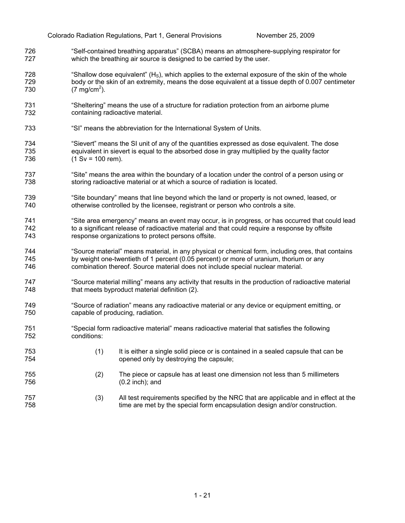- 726 727 "Self-contained breathing apparatus" (SCBA) means an atmosphere-supplying respirator for which the breathing air source is designed to be carried by the user.
- 728 729 730 "Shallow dose equivalent"  $(H<sub>s</sub>)$ , which applies to the external exposure of the skin of the whole body or the skin of an extremity, means the dose equivalent at a tissue depth of 0.007 centimeter  $(7 \text{ mg/cm}^2)$ .
- 731 732 "Sheltering" means the use of a structure for radiation protection from an airborne plume containing radioactive material.
- 733 "SI" means the abbreviation for the International System of Units.
- 734 735 736 "Sievert" means the SI unit of any of the quantities expressed as dose equivalent. The dose equivalent in sievert is equal to the absorbed dose in gray multiplied by the quality factor  $(1 Sv = 100 rem)$ .
- 737 738 "Site" means the area within the boundary of a location under the control of a person using or storing radioactive material or at which a source of radiation is located.
- 739 740 "Site boundary" means that line beyond which the land or property is not owned, leased, or otherwise controlled by the licensee, registrant or person who controls a site.
- 741 742 743 "Site area emergency" means an event may occur, is in progress, or has occurred that could lead to a significant release of radioactive material and that could require a response by offsite response organizations to protect persons offsite.
- 744 745 746 "Source material" means material, in any physical or chemical form, including ores, that contains by weight one-twentieth of 1 percent (0.05 percent) or more of uranium, thorium or any combination thereof. Source material does not include special nuclear material.
- 747 748 "Source material milling" means any activity that results in the production of radioactive material that meets byproduct material definition (2).
- 749 750 "Source of radiation" means any radioactive material or any device or equipment emitting, or capable of producing, radiation.
- 751 752 "Special form radioactive material" means radioactive material that satisfies the following conditions:
- 753 754 (1) It is either a single solid piece or is contained in a sealed capsule that can be opened only by destroying the capsule;
- 755 756 (2) The piece or capsule has at least one dimension not less than 5 millimeters (0.2 inch); and
- 757 758 (3) All test requirements specified by the NRC that are applicable and in effect at the time are met by the special form encapsulation design and/or construction.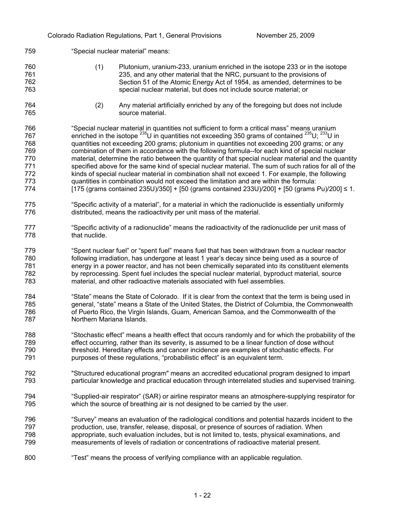### 761 762 763 764 765 766 767 768 769 770 771 772 773 774 775 776 777 778 779 780 781 782 783 784 785 786 787 788 789 790 791 792 793 794 795 796 797 798 799 800 235, and any other material that the NRC, pursuant to the provisions of Section 51 of the Atomic Energy Act of 1954, as amended, determines to be special nuclear material, but does not include source material; or (2) Any material artificially enriched by any of the foregoing but does not include source material. "Special nuclear material in quantities not sufficient to form a critical mass" means uranium enriched in the isotope  $^{235}$ U in quantities not exceeding 350 grams of contained  $^{235}$ U;  $^{233}$ U in quantities not exceeding 200 grams; plutonium in quantities not exceeding 200 grams; or any combination of them in accordance with the following formula--for each kind of special nuclear material, determine the ratio between the quantity of that special nuclear material and the quantity specified above for the same kind of special nuclear material. The sum of such ratios for all of the kinds of special nuclear material in combination shall not exceed 1. For example, the following quantities in combination would not exceed the limitation and are within the formula:  $[175$  (grams contained 235U)/350] +  $[50$  (grams contained 233U)/200] +  $[50$  (grams Pu)/200] ≤ 1. "Specific activity of a material", for a material in which the radionuclide is essentially uniformly distributed, means the radioactivity per unit mass of the material. "Specific activity of a radionuclide" means the radioactivity of the radionuclide per unit mass of that nuclide. "Spent nuclear fuel" or "spent fuel" means fuel that has been withdrawn from a nuclear reactor following irradiation, has undergone at least 1 year's decay since being used as a source of energy in a power reactor, and has not been chemically separated into its constituent elements by reprocessing. Spent fuel includes the special nuclear material, byproduct material, source material, and other radioactive materials associated with fuel assemblies. "State" means the State of Colorado. If it is clear from the context that the term is being used in general, "state" means a State of the United States, the District of Columbia, the Commonwealth of Puerto Rico, the Virgin Islands, Guam, American Samoa, and the Commonwealth of the Northern Mariana Islands. "Stochastic effect" means a health effect that occurs randomly and for which the probability of the effect occurring, rather than its severity, is assumed to be a linear function of dose without threshold. Hereditary effects and cancer incidence are examples of stochastic effects. For purposes of these regulations, "probabilistic effect" is an equivalent term. "Structured educational program" means an accredited educational program designed to impart particular knowledge and practical education through interrelated studies and supervised training. "Supplied-air respirator" (SAR) or airline respirator means an atmosphere-supplying respirator for which the source of breathing air is not designed to be carried by the user. "Survey" means an evaluation of the radiological conditions and potential hazards incident to the production, use, transfer, release, disposal, or presence of sources of radiation. When appropriate, such evaluation includes, but is not limited to, tests, physical examinations, and measurements of levels of radiation or concentrations of radioactive material present. "Test" means the process of verifying compliance with an applicable regulation.

"Special nuclear material" means:

759

760

(1) Plutonium, uranium-233, uranium enriched in the isotope 233 or in the isotope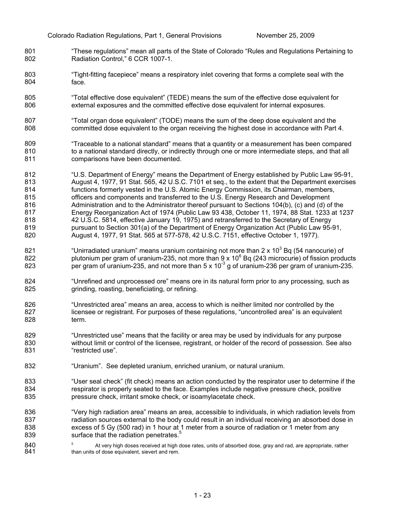- 801 802 "These regulations" mean all parts of the State of Colorado "Rules and Regulations Pertaining to Radiation Control," 6 CCR 1007-1.
- 803 804 "Tight-fitting facepiece" means a respiratory inlet covering that forms a complete seal with the face.
- 805 806 "Total effective dose equivalent" (TEDE) means the sum of the effective dose equivalent for external exposures and the committed effective dose equivalent for internal exposures.
- 807 808 "Total organ dose equivalent" (TODE) means the sum of the deep dose equivalent and the committed dose equivalent to the organ receiving the highest dose in accordance with Part 4.
- 809 810 811 "Traceable to a national standard" means that a quantity or a measurement has been compared to a national standard directly, or indirectly through one or more intermediate steps, and that all comparisons have been documented.
- 812 813 814 815 816 817 818 819 820 "U.S. Department of Energy" means the Department of Energy established by Public Law 95-91, August 4, 1977, 91 Stat. 565, 42 U.S.C. 7101 et seq., to the extent that the Department exercises functions formerly vested in the U.S. Atomic Energy Commission, its Chairman, members, officers and components and transferred to the U.S. Energy Research and Development Administration and to the Administrator thereof pursuant to Sections 104(b), (c) and (d) of the Energy Reorganization Act of 1974 (Public Law 93 438, October 11, 1974, 88 Stat. 1233 at 1237 42 U.S.C. 5814, effective January 19, 1975) and retransferred to the Secretary of Energy pursuant to Section 301(a) of the Department of Energy Organization Act (Public Law 95-91, August 4, 1977, 91 Stat. 565 at 577-578, 42 U.S.C. 7151, effective October 1, 1977).
- 821 822 823 "Unirradiated uranium" means uranium containing not more than 2 x 10<sup>3</sup> Bq (54 nanocurie) of plutonium per gram of uranium-235, not more than 9 x 10 $^6$  Bq (243 microcurie) of fission products per gram of uranium-235, and not more than  $5 \times 10^{-3}$  g of uranium-236 per gram of uranium-235.
- 824 825 "Unrefined and unprocessed ore" means ore in its natural form prior to any processing, such as grinding, roasting, beneficiating, or refining.
- 826 827 828 "Unrestricted area" means an area, access to which is neither limited nor controlled by the licensee or registrant. For purposes of these regulations, "uncontrolled area" is an equivalent term.
- 829 830 831 "Unrestricted use" means that the facility or area may be used by individuals for any purpose without limit or control of the licensee, registrant, or holder of the record of possession. See also "restricted use".
- 832 "Uranium". See depleted uranium, enriched uranium, or natural uranium.
- 833 834 835 "User seal check" (fit check) means an action conducted by the respirator user to determine if the respirator is properly seated to the face. Examples include negative pressure check, positive pressure check, irritant smoke check, or isoamylacetate check.
- 836 837 838 839 "Very high radiation area" means an area, accessible to individuals, in which radiation levels from radiation sources external to the body could result in an individual receiving an absorbed dose in excess of 5 Gy (500 rad) in 1 hour at 1 meter from a source of radiation or 1 meter from any surface that the radiation penetrates.<sup>5</sup>

840 841 5 At very high doses received at high dose rates, units of absorbed dose, gray and rad, are appropriate, rather than units of dose equivalent, sievert and rem.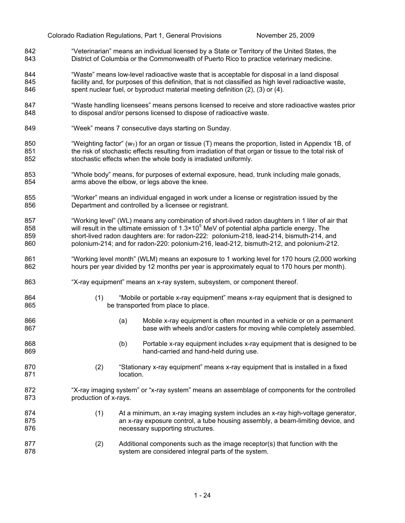- 842 843 "Veterinarian" means an individual licensed by a State or Territory of the United States, the District of Columbia or the Commonwealth of Puerto Rico to practice veterinary medicine.
- 844 845 846 "Waste" means low-level radioactive waste that is acceptable for disposal in a land disposal facility and, for purposes of this definition, that is not classified as high level radioactive waste, spent nuclear fuel, or byproduct material meeting definition (2), (3) or (4).
- 847 848 "Waste handling licensees" means persons licensed to receive and store radioactive wastes prior to disposal and/or persons licensed to dispose of radioactive waste.
- 849 "Week" means 7 consecutive days starting on Sunday.

866 867

874 875 876

- 850 851 852 "Weighting factor" ( $w<sub>T</sub>$ ) for an organ or tissue (T) means the proportion, listed in Appendix 1B, of the risk of stochastic effects resulting from irradiation of that organ or tissue to the total risk of stochastic effects when the whole body is irradiated uniformly.
- 853 854 "Whole body" means, for purposes of external exposure, head, trunk including male gonads, arms above the elbow, or legs above the knee.
- 855 856 "Worker" means an individual engaged in work under a license or registration issued by the Department and controlled by a licensee or registrant.
- 857 858 859 860 "Working level" (WL) means any combination of short-lived radon daughters in 1 liter of air that will result in the ultimate emission of 1.3×10<sup>5</sup> MeV of potential alpha particle energy. The short-lived radon daughters are: for radon-222: polonium-218, lead-214, bismuth-214, and polonium-214; and for radon-220: polonium-216, lead-212, bismuth-212, and polonium-212.
- 861 862 "Working level month" (WLM) means an exposure to 1 working level for 170 hours (2,000 working hours per year divided by 12 months per year is approximately equal to 170 hours per month).
- 863 "X-ray equipment" means an x-ray system, subsystem, or component thereof.
- 864 865 (1) "Mobile or portable x-ray equipment" means x-ray equipment that is designed to be transported from place to place.
	- (a) Mobile x-ray equipment is often mounted in a vehicle or on a permanent base with wheels and/or casters for moving while completely assembled.
- 868 869 (b) Portable x-ray equipment includes x-ray equipment that is designed to be hand-carried and hand-held during use.
- 870 871 (2) "Stationary x-ray equipment" means x-ray equipment that is installed in a fixed location.
- 872 873 "X-ray imaging system" or "x-ray system" means an assemblage of components for the controlled production of x-rays.
	- (1) At a minimum, an x-ray imaging system includes an x-ray high-voltage generator, an x-ray exposure control, a tube housing assembly, a beam-limiting device, and necessary supporting structures.
- 877 878 (2) Additional components such as the image receptor(s) that function with the system are considered integral parts of the system.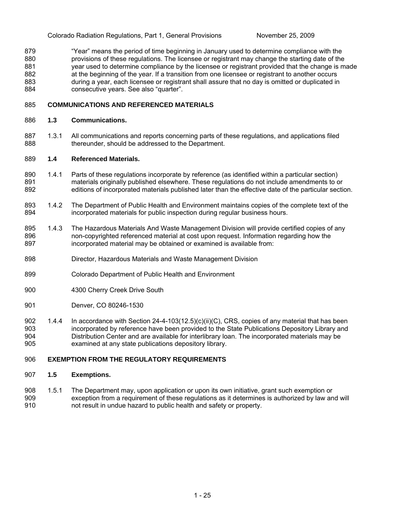879 880 881 882 883 884 "Year" means the period of time beginning in January used to determine compliance with the provisions of these regulations. The licensee or registrant may change the starting date of the year used to determine compliance by the licensee or registrant provided that the change is made at the beginning of the year. If a transition from one licensee or registrant to another occurs during a year, each licensee or registrant shall assure that no day is omitted or duplicated in consecutive years. See also "quarter".

#### 885 **COMMUNICATIONS AND REFERENCED MATERIALS**

#### 886 **1.3 Communications.**

887 888 1.3.1 All communications and reports concerning parts of these regulations, and applications filed thereunder, should be addressed to the Department.

#### 889 **1.4 Referenced Materials.**

- 890 891 892 1.4.1 Parts of these regulations incorporate by reference (as identified within a particular section) materials originally published elsewhere. These regulations do not include amendments to or editions of incorporated materials published later than the effective date of the particular section.
- 893 894 1.4.2 The Department of Public Health and Environment maintains copies of the complete text of the incorporated materials for public inspection during regular business hours.
- 895 896 897 1.4.3 The Hazardous Materials And Waste Management Division will provide certified copies of any non-copyrighted referenced material at cost upon request. Information regarding how the incorporated material may be obtained or examined is available from:
- 898 Director, Hazardous Materials and Waste Management Division
- 899 Colorado Department of Public Health and Environment
- 900 4300 Cherry Creek Drive South
- 901 Denver, CO 80246-1530
- 902 903 904 905 1.4.4 In accordance with Section 24-4-103(12.5)(c)(ii)(C), CRS, copies of any material that has been incorporated by reference have been provided to the State Publications Depository Library and Distribution Center and are available for interlibrary loan. The incorporated materials may be examined at any state publications depository library.

#### 906 **EXEMPTION FROM THE REGULATORY REQUIREMENTS**

#### 907 **1.5 Exemptions.**

908 909 910 1.5.1 The Department may, upon application or upon its own initiative, grant such exemption or exception from a requirement of these regulations as it determines is authorized by law and will not result in undue hazard to public health and safety or property.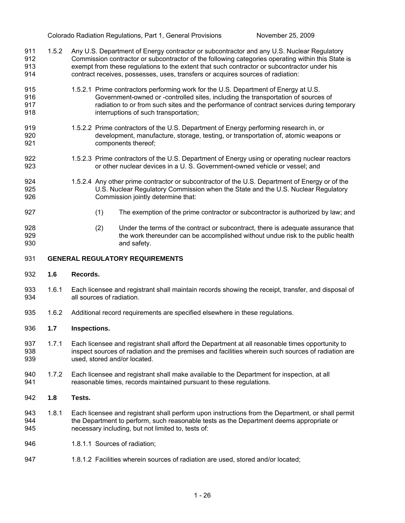- 911 912 913 914 1.5.2 Any U.S. Department of Energy contractor or subcontractor and any U.S. Nuclear Regulatory Commission contractor or subcontractor of the following categories operating within this State is exempt from these regulations to the extent that such contractor or subcontractor under his contract receives, possesses, uses, transfers or acquires sources of radiation:
- 915 916 917 918 1.5.2.1 Prime contractors performing work for the U.S. Department of Energy at U.S. Government-owned or -controlled sites, including the transportation of sources of radiation to or from such sites and the performance of contract services during temporary interruptions of such transportation;
- 919 920 921 1.5.2.2 Prime contractors of the U.S. Department of Energy performing research in, or development, manufacture, storage, testing, or transportation of, atomic weapons or components thereof;
- 922 923 1.5.2.3 Prime contractors of the U.S. Department of Energy using or operating nuclear reactors or other nuclear devices in a U. S. Government-owned vehicle or vessel; and
- 924 925 926 1.5.2.4 Any other prime contractor or subcontractor of the U.S. Department of Energy or of the U.S. Nuclear Regulatory Commission when the State and the U.S. Nuclear Regulatory Commission jointly determine that:
	- (1) The exemption of the prime contractor or subcontractor is authorized by law; and
- 928 929 930 (2) Under the terms of the contract or subcontract, there is adequate assurance that the work thereunder can be accomplished without undue risk to the public health and safety.

#### 931 **GENERAL REGULATORY REQUIREMENTS**

932 **1.6 Records.** 

927

- 933 934 1.6.1 Each licensee and registrant shall maintain records showing the receipt, transfer, and disposal of all sources of radiation.
- 935 1.6.2 Additional record requirements are specified elsewhere in these regulations.

#### 936 **1.7 Inspections.**

- 937 938 939 1.7.1 Each licensee and registrant shall afford the Department at all reasonable times opportunity to inspect sources of radiation and the premises and facilities wherein such sources of radiation are used, stored and/or located.
- 940 941 1.7.2 Each licensee and registrant shall make available to the Department for inspection, at all reasonable times, records maintained pursuant to these regulations.
- 942 **1.8 Tests.**
- 943 944 945 1.8.1 Each licensee and registrant shall perform upon instructions from the Department, or shall permit the Department to perform, such reasonable tests as the Department deems appropriate or necessary including, but not limited to, tests of:
- 946 1.8.1.1 Sources of radiation;
- 947 1.8.1.2 Facilities wherein sources of radiation are used, stored and/or located;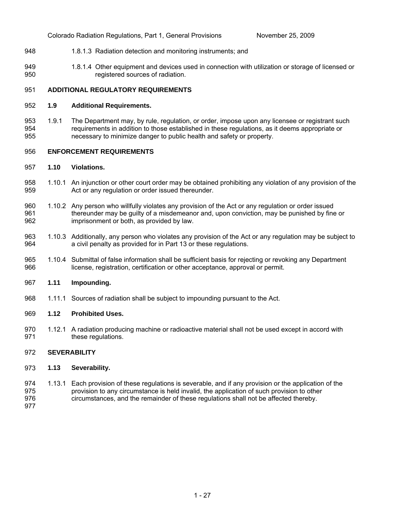- 948 1.8.1.3 Radiation detection and monitoring instruments; and
- 949 950 1.8.1.4 Other equipment and devices used in connection with utilization or storage of licensed or registered sources of radiation.

#### 951 **ADDITIONAL REGULATORY REQUIREMENTS**

#### 952 **1.9 Additional Requirements.**

953 954 955 1.9.1 The Department may, by rule, regulation, or order, impose upon any licensee or registrant such requirements in addition to those established in these regulations, as it deems appropriate or necessary to minimize danger to public health and safety or property.

#### 956 **ENFORCEMENT REQUIREMENTS**

#### 957 **1.10 Violations.**

- 958 959 1.10.1 An injunction or other court order may be obtained prohibiting any violation of any provision of the Act or any regulation or order issued thereunder.
- 960 961 962 1.10.2 Any person who willfully violates any provision of the Act or any regulation or order issued thereunder may be guilty of a misdemeanor and, upon conviction, may be punished by fine or imprisonment or both, as provided by law.
- 963 964 1.10.3 Additionally, any person who violates any provision of the Act or any regulation may be subject to a civil penalty as provided for in Part 13 or these regulations.
- 965 966 1.10.4 Submittal of false information shall be sufficient basis for rejecting or revoking any Department license, registration, certification or other acceptance, approval or permit.

#### 967 **1.11 Impounding.**

968 1.11.1 Sources of radiation shall be subject to impounding pursuant to the Act.

#### 969 **1.12 Prohibited Uses.**

970 971 1.12.1 A radiation producing machine or radioactive material shall not be used except in accord with these regulations.

#### 972 **SEVERABILITY**

#### 973 **1.13 Severability.**

- 974 975 976 1.13.1 Each provision of these regulations is severable, and if any provision or the application of the provision to any circumstance is held invalid, the application of such provision to other circumstances, and the remainder of these regulations shall not be affected thereby.
- 977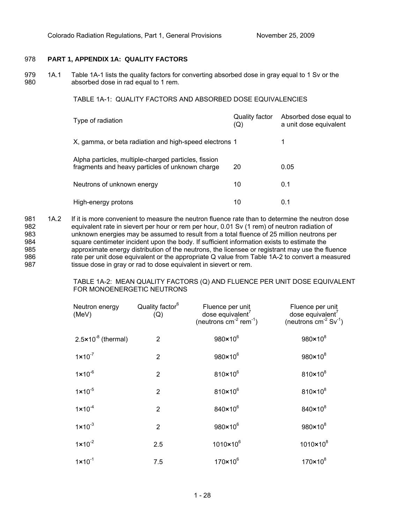## 978 **PART 1, APPENDIX 1A: QUALITY FACTORS**

979 980 1A.1 Table 1A-1 lists the quality factors for converting absorbed dose in gray equal to 1 Sv or the absorbed dose in rad equal to 1 rem.

TABLE 1A-1: QUALITY FACTORS AND ABSORBED DOSE EQUIVALENCIES

| Type of radiation                                                                                       | Quality factor<br>(Q) | Absorbed dose equal to<br>a unit dose equivalent |
|---------------------------------------------------------------------------------------------------------|-----------------------|--------------------------------------------------|
| X, gamma, or beta radiation and high-speed electrons 1                                                  |                       |                                                  |
| Alpha particles, multiple-charged particles, fission<br>fragments and heavy particles of unknown charge | 20                    | 0.05                                             |
| Neutrons of unknown energy                                                                              | 10                    | 0.1                                              |
| High-energy protons                                                                                     | 10                    | 0.1                                              |

981 982 983 984 985 986 987 1A.2 If it is more convenient to measure the neutron fluence rate than to determine the neutron dose equivalent rate in sievert per hour or rem per hour, 0.01 Sv (1 rem) of neutron radiation of unknown energies may be assumed to result from a total fluence of 25 million neutrons per square centimeter incident upon the body. If sufficient information exists to estimate the approximate energy distribution of the neutrons, the licensee or registrant may use the fluence rate per unit dose equivalent or the appropriate Q value from Table 1A-2 to convert a measured tissue dose in gray or rad to dose equivalent in sievert or rem.

> TABLE 1A-2: MEAN QUALITY FACTORS (Q) AND FLUENCE PER UNIT DOSE EQUIVALENT FOR MONOENERGETIC NEUTRONS

| Neutron energy<br>(MeV)        | Quality factor <sup>6</sup><br>(Q) | Fluence per unit<br>dose equivalent'<br>(neutrons $cm^{-2}$ rem <sup>-1</sup> ) | Fluence per unit<br>dose equivalent $^7$<br>(neutrons $cm^{-2}$ Sv <sup>-1</sup> ) |
|--------------------------------|------------------------------------|---------------------------------------------------------------------------------|------------------------------------------------------------------------------------|
| $2.5 \times 10^{-8}$ (thermal) | $\overline{2}$                     | 980×10 <sup>6</sup>                                                             | $980 \times 10^8$                                                                  |
| $1 \times 10^{-7}$             | 2                                  | $980 \times 10^6$                                                               | $980 \times 10^8$                                                                  |
| $1 \times 10^{-6}$             | 2                                  | $810 \times 10^6$                                                               | $810 \times 10^8$                                                                  |
| $1 \times 10^{-5}$             | $\overline{2}$                     | $810 \times 10^6$                                                               | $810 \times 10^8$                                                                  |
| $1 \times 10^{-4}$             | $\overline{2}$                     | 840×10 <sup>6</sup>                                                             | 840×10 <sup>8</sup>                                                                |
| $1 \times 10^{-3}$             | $\overline{2}$                     | 980×10 <sup>6</sup>                                                             | $980 \times 10^8$                                                                  |
| $1 \times 10^{-2}$             | 2.5                                | $1010 \times 10^{6}$                                                            | $1010 \times 10^{8}$                                                               |
| $1 \times 10^{-1}$             | 7.5                                | $170 \times 10^{6}$                                                             | $170 \times 10^8$                                                                  |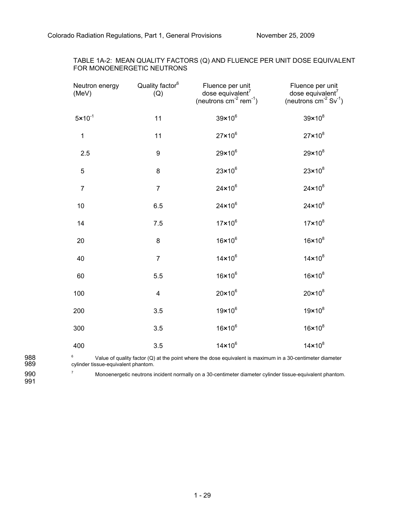| TABLE 1A-2: MEAN QUALITY FACTORS (Q) AND FLUENCE PER UNIT DOSE EQUIVALENT |  |
|---------------------------------------------------------------------------|--|
| FOR MONOENERGETIC NEUTRONS                                                |  |

| Neutron energy<br>(MeV) | Quality factor <sup>6</sup><br>(Q) | Fluence per unit<br>dose equivalent $^7$<br>(neutrons $cm^{-2}$ rem <sup>-1</sup> ) | Fluence per unit<br>dose equivalent $^7$<br>(neutrons $cm-2 Sv-1$ ) |
|-------------------------|------------------------------------|-------------------------------------------------------------------------------------|---------------------------------------------------------------------|
| $5 \times 10^{-1}$      | 11                                 | $39 \times 10^6$                                                                    | $39 \times 10^8$                                                    |
| $\mathbf 1$             | 11                                 | $27 \times 10^6$                                                                    | $27 \times 10^8$                                                    |
| 2.5                     | $\boldsymbol{9}$                   | $29 \times 10^6$                                                                    | $29 \times 10^8$                                                    |
| 5                       | 8                                  | $23 \times 10^6$                                                                    | $23 \times 10^8$                                                    |
| $\overline{7}$          | $\overline{7}$                     | $24 \times 10^6$                                                                    | $24 \times 10^8$                                                    |
| 10                      | 6.5                                | $24 \times 10^6$                                                                    | $24 \times 10^8$                                                    |
| 14                      | 7.5                                | $17 \times 10^6$                                                                    | $17 \times 10^8$                                                    |
| 20                      | 8                                  | $16 \times 10^6$                                                                    | $16 \times 10^8$                                                    |
| 40                      | $\overline{7}$                     | $14\times10^6$                                                                      | $14\times10^8$                                                      |
| 60                      | 5.5                                | $16 \times 10^6$                                                                    | $16 \times 10^8$                                                    |
| 100                     | $\overline{\mathbf{4}}$            | $20 \times 10^6$                                                                    | $20 \times 10^8$                                                    |
| 200                     | 3.5                                | $19\times10^6$                                                                      | $19 \times 10^8$                                                    |
| 300                     | 3.5                                | $16 \times 10^6$                                                                    | $16 \times 10^8$                                                    |
| 400                     | 3.5                                | $14\times10^6$                                                                      | $14\times10^8$                                                      |

6 Value of quality factor (Q) at the point where the dose equivalent is maximum in a 30-centimeter diameter cylinder tissue-equivalent phantom.

989 990 991

988

7 Monoenergetic neutrons incident normally on a 30-centimeter diameter cylinder tissue-equivalent phantom.